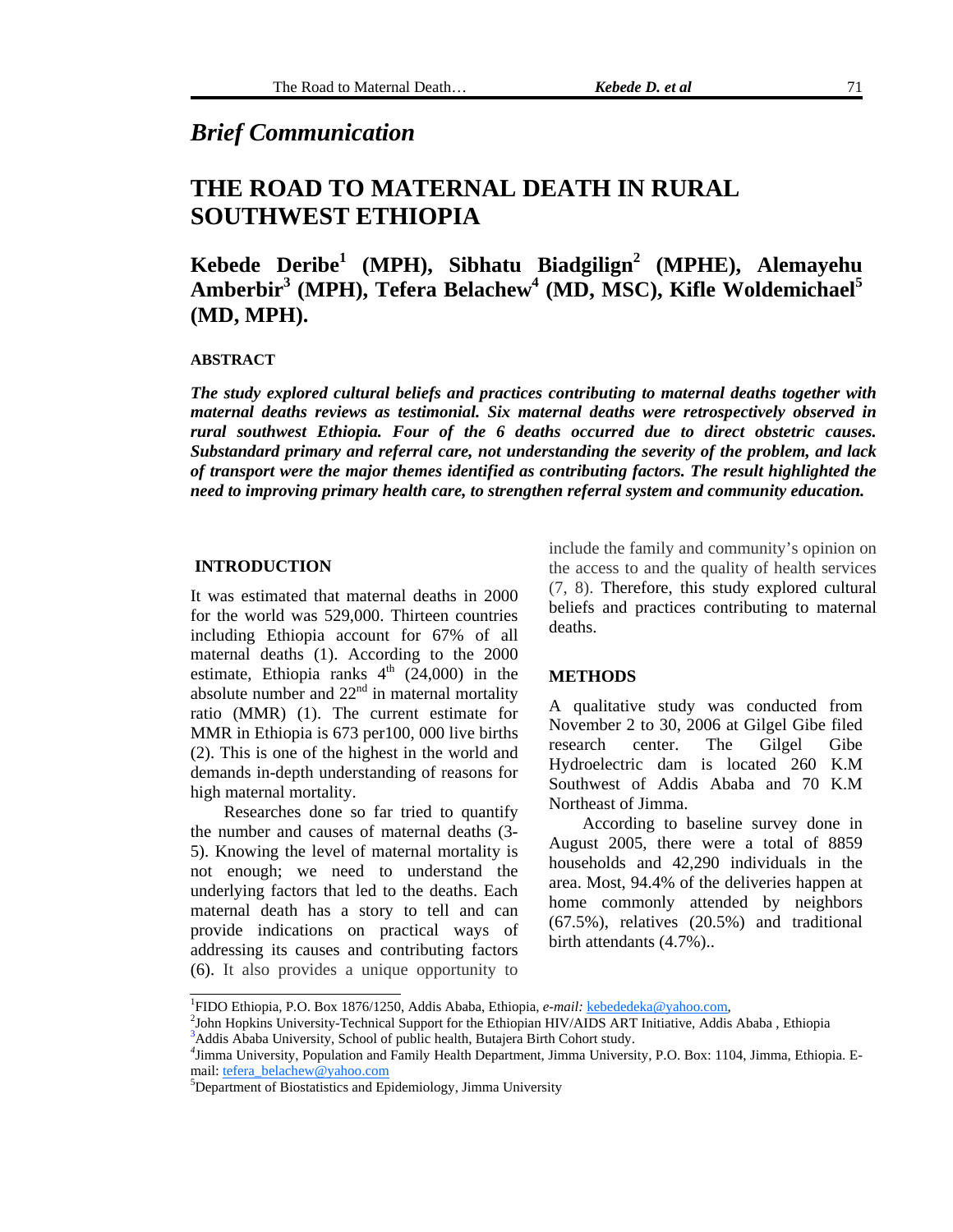### *Brief Communication*

# **THE ROAD TO MATERNAL DEATH IN RURAL SOUTHWEST ETHIOPIA**

## **Kebede Deribe1 (MPH), Sibhatu Biadgilign<sup>2</sup> (MPHE), Alemayehu**   $\mathbf{A}$ mberbir<sup>3</sup> (MPH), Tefera Belachew<sup>4</sup> (MD, MSC), Kifle Woldemichael<sup>5</sup> **(MD, MPH).**

#### **ABSTRACT**

*The study explored cultural beliefs and practices contributing to maternal deaths together with maternal deaths reviews as testimonial. Six maternal deaths were retrospectively observed in rural southwest Ethiopia. Four of the 6 deaths occurred due to direct obstetric causes. Substandard primary and referral care, not understanding the severity of the problem, and lack of transport were the major themes identified as contributing factors. The result highlighted the need to improving primary health care, to strengthen referral system and community education.* 

#### **INTRODUCTION**

It was estimated that maternal deaths in 2000 for the world was 529,000. Thirteen countries including Ethiopia account for 67% of all maternal deaths (1). According to the 2000 estimate, Ethiopia ranks  $4<sup>th</sup>$  (24,000) in the absolute number and  $22<sup>nd</sup>$  in maternal mortality ratio (MMR) (1). The current estimate for MMR in Ethiopia is 673 per100, 000 live births (2). This is one of the highest in the world and demands in-depth understanding of reasons for high maternal mortality.

Researches done so far tried to quantify the number and causes of maternal deaths (3- 5). Knowing the level of maternal mortality is not enough; we need to understand the underlying factors that led to the deaths. Each maternal death has a story to tell and can provide indications on practical ways of addressing its causes and contributing factors (6). It also provides a unique opportunity to include the family and community's opinion on the access to and the quality of health services (7, 8). Therefore, this study explored cultural beliefs and practices contributing to maternal deaths.

#### **METHODS**

A qualitative study was conducted from November 2 to 30, 2006 at Gilgel Gibe filed research center. The Gilgel Gibe Hydroelectric dam is located 260 K.M Southwest of Addis Ababa and 70 K.M Northeast of Jimma.

According to baseline survey done in August 2005, there were a total of 8859 households and 42,290 individuals in the area. Most, 94.4% of the deliveries happen at home commonly attended by neighbors (67.5%), relatives (20.5%) and traditional birth attendants (4.7%)..

 $\overline{1}$ FIDO Ethiopia*,* P*.*O. Box 1876/1250, Addis Ababa, Ethiopia, *e-mail:* [kebededeka@yahoo.com,](mailto:kebededeka@yahoo.com) 2

 $^{2}$ John Hopkins University-Technical Support for the Ethiopian HIV/AIDS ART Initiative, Addis Ababa, Ethiopia <sup>3</sup>Addis Ababa University, School of public health, Butajera Birth Cohort study.

<sup>&</sup>lt;sup>4</sup>Jimma University, Population and Family Health Department, Jimma University, P.O. Box: 1104, Jimma, Ethiopia. Email: [tefera\\_belachew@yahoo.com](mailto:tefera_belachew@yahoo.com)

Department of Biostatistics and Epidemiology, Jimma University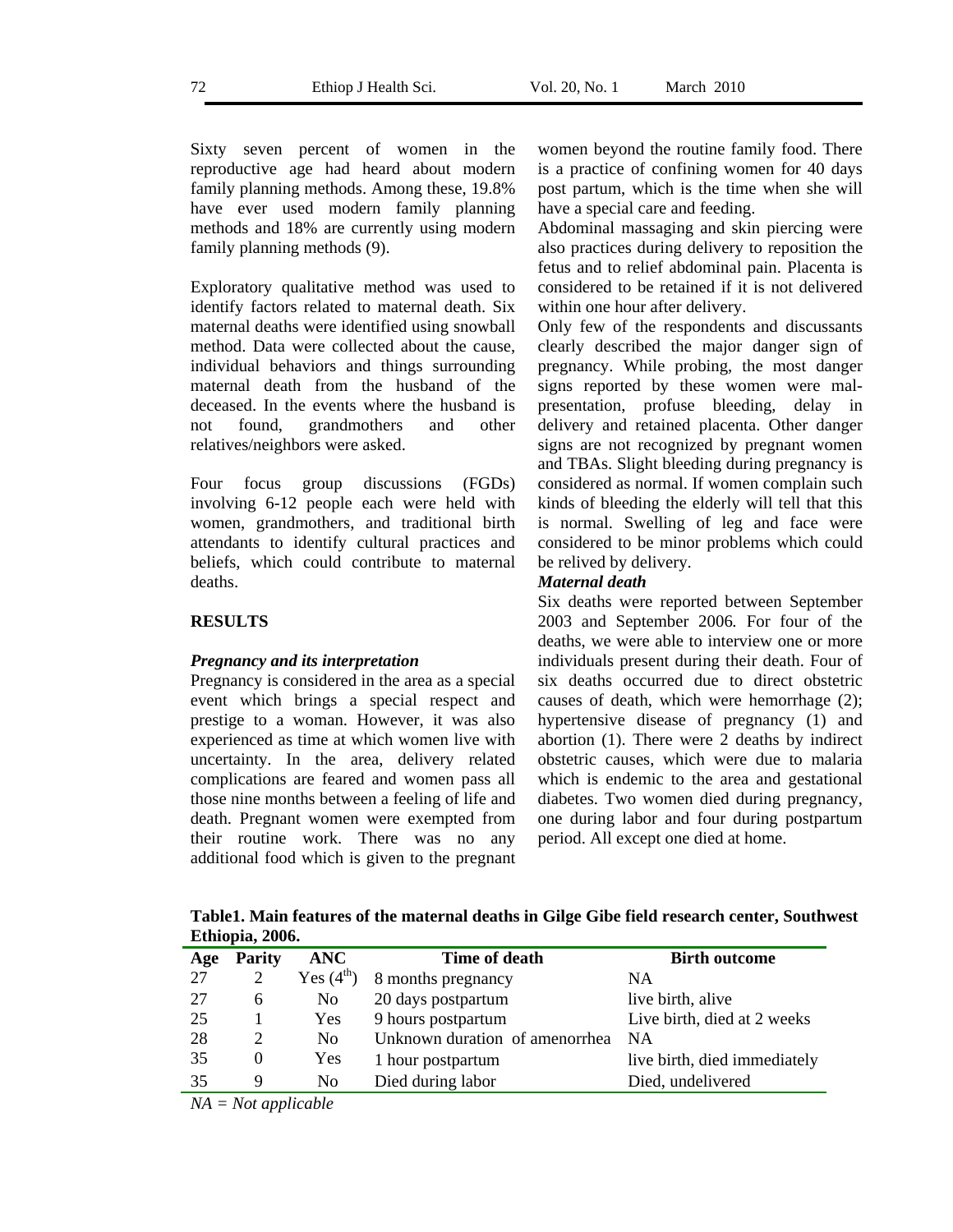Sixty seven percent of women in the reproductive age had heard about modern family planning methods. Among these, 19.8% have ever used modern family planning methods and 18% are currently using modern family planning methods (9).

Exploratory qualitative method was used to identify factors related to maternal death. Six maternal deaths were identified using snowball method. Data were collected about the cause, individual behaviors and things surrounding maternal death from the husband of the deceased. In the events where the husband is not found, grandmothers and other relatives/neighbors were asked.

Four focus group discussions (FGDs) involving 6-12 people each were held with women, grandmothers, and traditional birth attendants to identify cultural practices and beliefs, which could contribute to maternal deaths.

#### **RESULTS**

#### *Pregnancy and its interpretation*

Pregnancy is considered in the area as a special event which brings a special respect and prestige to a woman. However, it was also experienced as time at which women live with uncertainty. In the area, delivery related complications are feared and women pass all those nine months between a feeling of life and death. Pregnant women were exempted from their routine work. There was no any additional food which is given to the pregnant women beyond the routine family food. There is a practice of confining women for 40 days post partum, which is the time when she will have a special care and feeding.

Abdominal massaging and skin piercing were also practices during delivery to reposition the fetus and to relief abdominal pain. Placenta is considered to be retained if it is not delivered within one hour after delivery.

Only few of the respondents and discussants clearly described the major danger sign of pregnancy. While probing, the most danger signs reported by these women were malpresentation, profuse bleeding, delay in delivery and retained placenta. Other danger signs are not recognized by pregnant women and TBAs. Slight bleeding during pregnancy is considered as normal. If women complain such kinds of bleeding the elderly will tell that this is normal. Swelling of leg and face were considered to be minor problems which could be relived by delivery.

#### *Maternal death*

Six deaths were reported between September 2003 and September 2006*.* For four of the deaths, we were able to interview one or more individuals present during their death. Four of six deaths occurred due to direct obstetric causes of death, which were hemorrhage (2); hypertensive disease of pregnancy (1) and abortion (1). There were 2 deaths by indirect obstetric causes, which were due to malaria which is endemic to the area and gestational diabetes. Two women died during pregnancy, one during labor and four during postpartum period. All except one died at home.

**Table1. Main features of the maternal deaths in Gilge Gibe field research center, Southwest Ethiopia, 2006.** 

| Age     | <b>Parity</b> | <b>ANC</b>     | Time of death                  | <b>Birth outcome</b>         |
|---------|---------------|----------------|--------------------------------|------------------------------|
|         |               |                |                                |                              |
| 27      | 2             | Yes $(4th)$    | 8 months pregnancy             | NA                           |
| 27      | 6             | No.            | 20 days postpartum             | live birth, alive            |
| 25      |               | <b>Yes</b>     | 9 hours postpartum             | Live birth, died at 2 weeks  |
| 28      | 2             | N <sub>0</sub> | Unknown duration of amenorrhea | <b>NA</b>                    |
| 35      | $\Omega$      | <b>Yes</b>     | 1 hour postpartum              | live birth, died immediately |
| 35      | 9             | N <sub>o</sub> | Died during labor              | Died, undelivered            |
| - - - - |               | .              |                                |                              |

*NA = Not applicable*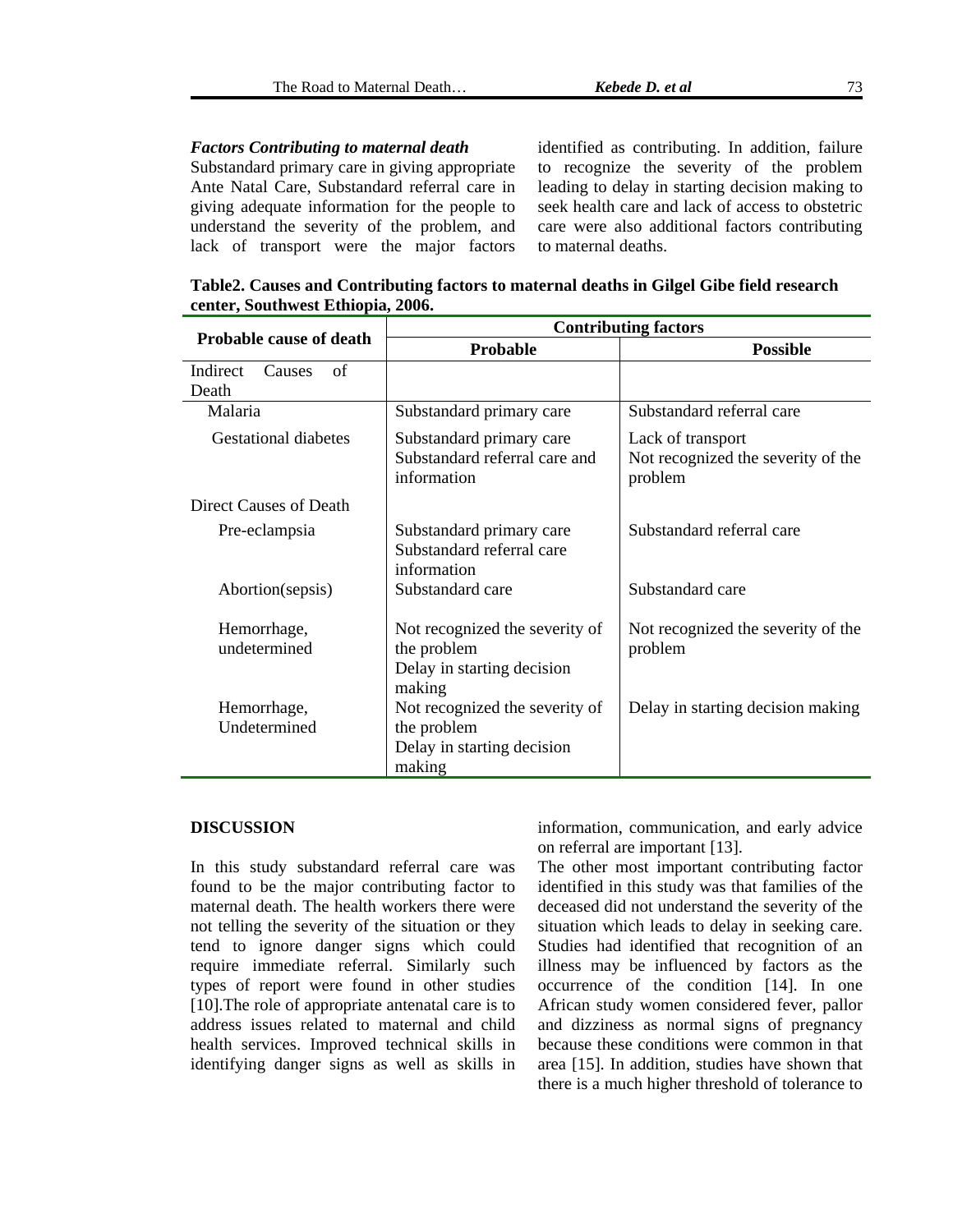#### *Factors Contributing to maternal death*

Substandard primary care in giving appropriate Ante Natal Care, Substandard referral care in understand the severity of the problem, and lack of transport were the major factors giving adequate information for the people to

identified as contributing. In addition, failure to recognize the s everity of the problem leading to delay in starting decision making to seek health care and lack of access to obstetric care were also additional factors contributing to maternal deaths.

**Table2. Causes and Contributing factors to maternal deaths in Gilgel Gibe field research ia, 2006. center, Southwest Ethiop**

|                                          | <b>Contributing factors</b>                                                           |                                                                    |  |
|------------------------------------------|---------------------------------------------------------------------------------------|--------------------------------------------------------------------|--|
| <b>Probable cause of death</b>           | <b>Probable</b>                                                                       | <b>Possible</b>                                                    |  |
| Indirect<br>of<br><b>Causes</b><br>Death |                                                                                       |                                                                    |  |
| Malaria                                  | Substandard primary care                                                              | Substandard referral care                                          |  |
| <b>Gestational diabetes</b>              | Substandard primary care<br>Substandard referral care and<br>information              | Lack of transport<br>Not recognized the severity of the<br>problem |  |
| Direct Causes of Death                   |                                                                                       |                                                                    |  |
| Pre-eclampsia                            | Substandard primary care<br>Substandard referral care<br>information                  | Substandard referral care                                          |  |
| Abortion(sepsis)                         | Substandard care                                                                      | Substandard care                                                   |  |
| Hemorrhage,<br>undetermined              | Not recognized the severity of<br>the problem<br>Delay in starting decision<br>making | Not recognized the severity of the<br>problem                      |  |
| Hemorrhage,<br>Undetermined              | Not recognized the severity of<br>the problem<br>Delay in starting decision<br>making | Delay in starting decision making                                  |  |

#### **DISCUSSION**

In this study substandard referral care was found to be the major contributing factor to maternal death. The health workers there were not telling the severity of the situation or they tend to ignore danger signs which could require immediate referral. Similarly such types of report were found in other studies [10].The role of appropriate antenatal care is to address issues related to maternal and child health services. Improved technical skills in identifying danger signs as well as skills in

information, communication, and early advice on referral are important [13].

The other most important contributing factor identified in this study was that families of the deceased did not understand the severity of the situation which leads to delay in seeking care. Studies had identified that recognition of an illness may be influenced by factors as the occurrence of the condition [14]. In one African study women considered fever, pallor and dizziness as normal signs of pregnancy because these conditions were common in that area [15]. In addition, studies have shown that there is a much higher threshold of tolerance to